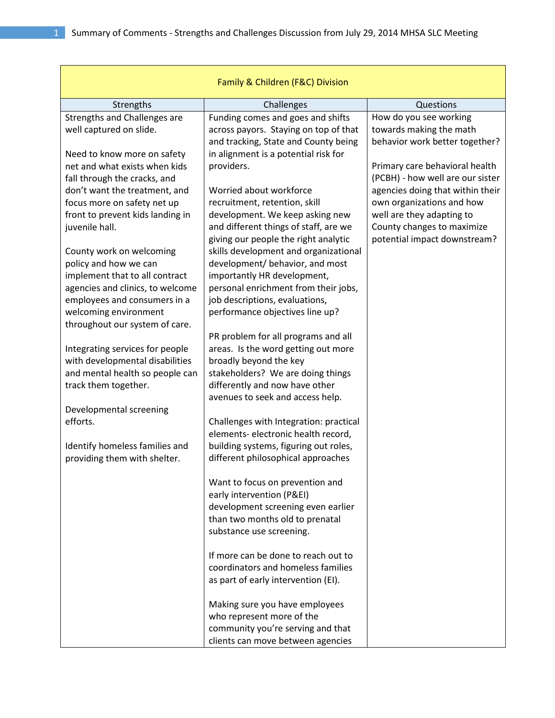| Family & Children (F&C) Division    |                                                                               |                                                            |
|-------------------------------------|-------------------------------------------------------------------------------|------------------------------------------------------------|
| Strengths                           | Challenges                                                                    | Questions                                                  |
| Strengths and Challenges are        | Funding comes and goes and shifts                                             | How do you see working                                     |
| well captured on slide.             | across payors. Staying on top of that                                         | towards making the math                                    |
|                                     | and tracking, State and County being                                          | behavior work better together?                             |
| Need to know more on safety         | in alignment is a potential risk for                                          |                                                            |
| net and what exists when kids       | providers.                                                                    | Primary care behavioral health                             |
| fall through the cracks, and        |                                                                               | (PCBH) - how well are our sister                           |
| don't want the treatment, and       | Worried about workforce                                                       | agencies doing that within their                           |
| focus more on safety net up         | recruitment, retention, skill                                                 | own organizations and how                                  |
| front to prevent kids landing in    | development. We keep asking new                                               | well are they adapting to                                  |
| juvenile hall.                      | and different things of staff, are we<br>giving our people the right analytic | County changes to maximize<br>potential impact downstream? |
| County work on welcoming            | skills development and organizational                                         |                                                            |
| policy and how we can               | development/ behavior, and most                                               |                                                            |
| implement that to all contract      | importantly HR development,                                                   |                                                            |
| agencies and clinics, to welcome    | personal enrichment from their jobs,                                          |                                                            |
| employees and consumers in a        | job descriptions, evaluations,                                                |                                                            |
| welcoming environment               | performance objectives line up?                                               |                                                            |
| throughout our system of care.      |                                                                               |                                                            |
|                                     | PR problem for all programs and all                                           |                                                            |
| Integrating services for people     | areas. Is the word getting out more                                           |                                                            |
| with developmental disabilities     | broadly beyond the key                                                        |                                                            |
| and mental health so people can     | stakeholders? We are doing things                                             |                                                            |
| track them together.                | differently and now have other                                                |                                                            |
|                                     | avenues to seek and access help.                                              |                                                            |
| Developmental screening<br>efforts. | Challenges with Integration: practical                                        |                                                            |
|                                     | elements- electronic health record,                                           |                                                            |
| Identify homeless families and      | building systems, figuring out roles,                                         |                                                            |
| providing them with shelter.        | different philosophical approaches                                            |                                                            |
|                                     |                                                                               |                                                            |
|                                     | Want to focus on prevention and                                               |                                                            |
|                                     | early intervention (P&EI)                                                     |                                                            |
|                                     | development screening even earlier                                            |                                                            |
|                                     | than two months old to prenatal                                               |                                                            |
|                                     | substance use screening.                                                      |                                                            |
|                                     |                                                                               |                                                            |
|                                     | If more can be done to reach out to<br>coordinators and homeless families     |                                                            |
|                                     | as part of early intervention (EI).                                           |                                                            |
|                                     |                                                                               |                                                            |
|                                     | Making sure you have employees                                                |                                                            |
|                                     | who represent more of the                                                     |                                                            |
|                                     | community you're serving and that                                             |                                                            |
|                                     | clients can move between agencies                                             |                                                            |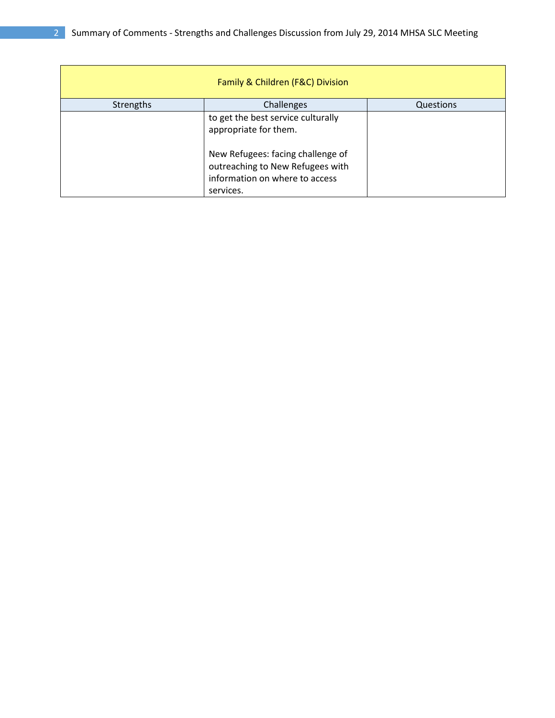| Family & Children (F&C) Division |                                                                                                                      |           |
|----------------------------------|----------------------------------------------------------------------------------------------------------------------|-----------|
| <b>Strengths</b>                 | Challenges                                                                                                           | Questions |
|                                  | to get the best service culturally<br>appropriate for them.                                                          |           |
|                                  | New Refugees: facing challenge of<br>outreaching to New Refugees with<br>information on where to access<br>services. |           |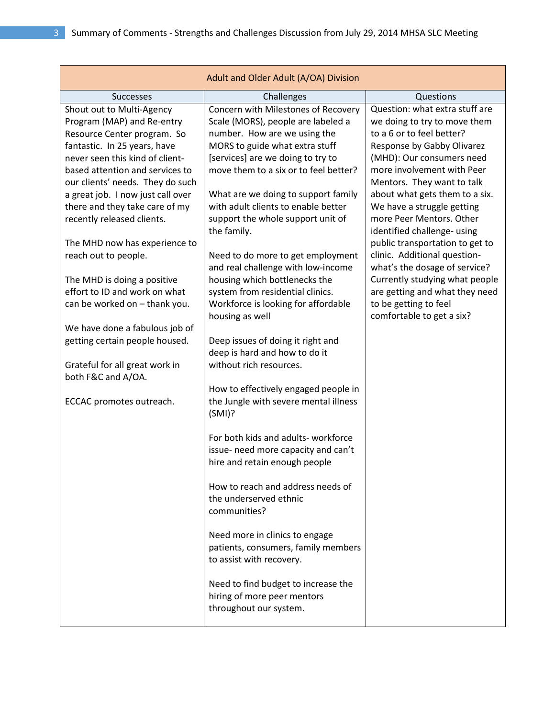| Adult and Older Adult (A/OA) Division |                                                                 |                                                         |
|---------------------------------------|-----------------------------------------------------------------|---------------------------------------------------------|
| <b>Successes</b>                      | Challenges                                                      | Questions                                               |
| Shout out to Multi-Agency             | Concern with Milestones of Recovery                             | Question: what extra stuff are                          |
| Program (MAP) and Re-entry            | Scale (MORS), people are labeled a                              | we doing to try to move them                            |
| Resource Center program. So           | number. How are we using the                                    | to a 6 or to feel better?                               |
| fantastic. In 25 years, have          | MORS to guide what extra stuff                                  | Response by Gabby Olivarez                              |
| never seen this kind of client-       | [services] are we doing to try to                               | (MHD): Our consumers need                               |
| based attention and services to       | move them to a six or to feel better?                           | more involvement with Peer                              |
| our clients' needs. They do such      |                                                                 | Mentors. They want to talk                              |
| a great job. I now just call over     | What are we doing to support family                             | about what gets them to a six.                          |
| there and they take care of my        | with adult clients to enable better                             | We have a struggle getting                              |
| recently released clients.            | support the whole support unit of<br>the family.                | more Peer Mentors. Other<br>identified challenge- using |
| The MHD now has experience to         |                                                                 | public transportation to get to                         |
| reach out to people.                  | Need to do more to get employment                               | clinic. Additional question-                            |
|                                       | and real challenge with low-income                              | what's the dosage of service?                           |
| The MHD is doing a positive           | housing which bottlenecks the                                   | Currently studying what people                          |
| effort to ID and work on what         | system from residential clinics.                                | are getting and what they need                          |
| can be worked on - thank you.         | Workforce is looking for affordable<br>housing as well          | to be getting to feel<br>comfortable to get a six?      |
| We have done a fabulous job of        |                                                                 |                                                         |
| getting certain people housed.        | Deep issues of doing it right and                               |                                                         |
|                                       | deep is hard and how to do it                                   |                                                         |
| Grateful for all great work in        | without rich resources.                                         |                                                         |
| both F&C and A/OA.                    |                                                                 |                                                         |
|                                       | How to effectively engaged people in                            |                                                         |
| ECCAC promotes outreach.              | the Jungle with severe mental illness<br>(SMI)?                 |                                                         |
|                                       | For both kids and adults-workforce                              |                                                         |
|                                       | issue- need more capacity and can't                             |                                                         |
|                                       | hire and retain enough people                                   |                                                         |
|                                       |                                                                 |                                                         |
|                                       | How to reach and address needs of                               |                                                         |
|                                       | the underserved ethnic<br>communities?                          |                                                         |
|                                       |                                                                 |                                                         |
|                                       | Need more in clinics to engage                                  |                                                         |
|                                       | patients, consumers, family members<br>to assist with recovery. |                                                         |
|                                       | Need to find budget to increase the                             |                                                         |
|                                       | hiring of more peer mentors                                     |                                                         |
|                                       | throughout our system.                                          |                                                         |
|                                       |                                                                 |                                                         |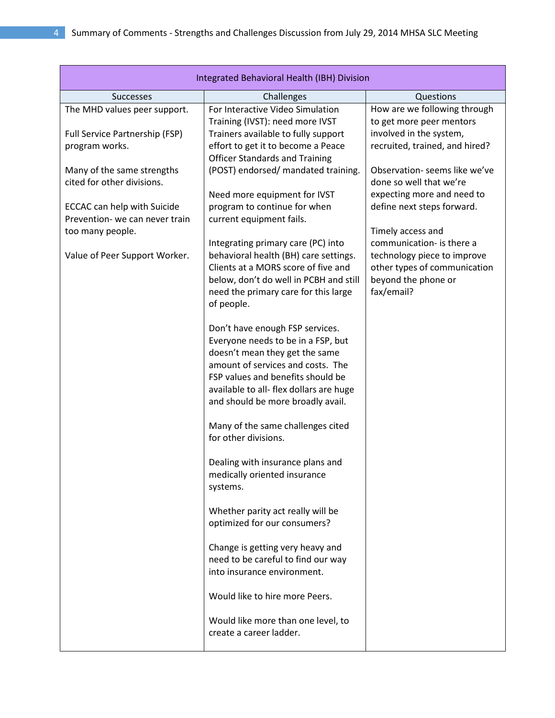| Integrated Behavioral Health (IBH) Division |                                                                             |                                                |
|---------------------------------------------|-----------------------------------------------------------------------------|------------------------------------------------|
| <b>Successes</b>                            | Challenges                                                                  | Questions                                      |
| The MHD values peer support.                | For Interactive Video Simulation                                            | How are we following through                   |
|                                             | Training (IVST): need more IVST                                             | to get more peer mentors                       |
| Full Service Partnership (FSP)              | Trainers available to fully support                                         | involved in the system,                        |
| program works.                              | effort to get it to become a Peace                                          | recruited, trained, and hired?                 |
|                                             | <b>Officer Standards and Training</b>                                       |                                                |
| Many of the same strengths                  | (POST) endorsed/ mandated training.                                         | Observation- seems like we've                  |
| cited for other divisions.                  |                                                                             | done so well that we're                        |
|                                             | Need more equipment for IVST                                                | expecting more and need to                     |
| <b>ECCAC</b> can help with Suicide          | program to continue for when                                                | define next steps forward.                     |
| Prevention- we can never train              | current equipment fails.                                                    |                                                |
| too many people.                            |                                                                             | Timely access and<br>communication- is there a |
| Value of Peer Support Worker.               | Integrating primary care (PC) into<br>behavioral health (BH) care settings. | technology piece to improve                    |
|                                             | Clients at a MORS score of five and                                         | other types of communication                   |
|                                             | below, don't do well in PCBH and still                                      | beyond the phone or                            |
|                                             | need the primary care for this large                                        | fax/email?                                     |
|                                             | of people.                                                                  |                                                |
|                                             |                                                                             |                                                |
|                                             | Don't have enough FSP services.                                             |                                                |
|                                             | Everyone needs to be in a FSP, but                                          |                                                |
|                                             | doesn't mean they get the same                                              |                                                |
|                                             | amount of services and costs. The                                           |                                                |
|                                             | FSP values and benefits should be                                           |                                                |
|                                             | available to all- flex dollars are huge                                     |                                                |
|                                             | and should be more broadly avail.                                           |                                                |
|                                             | Many of the same challenges cited                                           |                                                |
|                                             | for other divisions.                                                        |                                                |
|                                             |                                                                             |                                                |
|                                             | Dealing with insurance plans and                                            |                                                |
|                                             | medically oriented insurance                                                |                                                |
|                                             | systems.                                                                    |                                                |
|                                             |                                                                             |                                                |
|                                             | Whether parity act really will be                                           |                                                |
|                                             | optimized for our consumers?                                                |                                                |
|                                             | Change is getting very heavy and                                            |                                                |
|                                             | need to be careful to find our way                                          |                                                |
|                                             | into insurance environment.                                                 |                                                |
|                                             |                                                                             |                                                |
|                                             | Would like to hire more Peers.                                              |                                                |
|                                             | Would like more than one level, to                                          |                                                |
|                                             | create a career ladder.                                                     |                                                |
|                                             |                                                                             |                                                |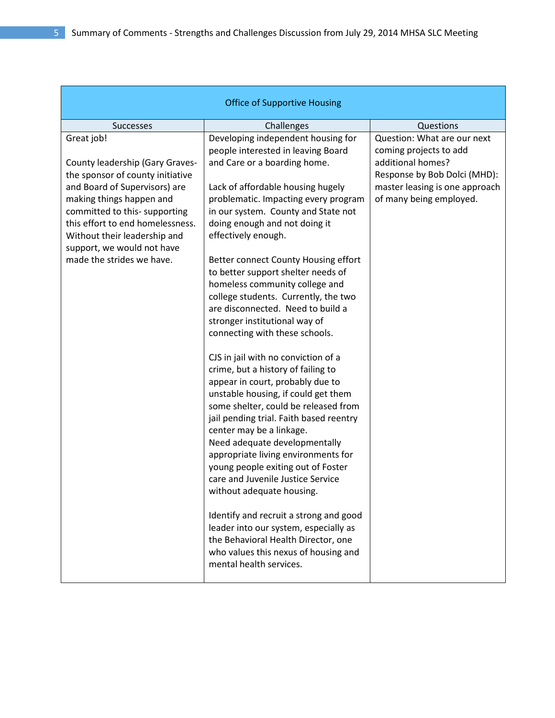| <b>Office of Supportive Housing</b>                                                                                                                                                                                                                           |                                                                                                                                                                                                                                                                                                                                                                                                                                                                                                                                                                                                                                                  |                                                                                           |
|---------------------------------------------------------------------------------------------------------------------------------------------------------------------------------------------------------------------------------------------------------------|--------------------------------------------------------------------------------------------------------------------------------------------------------------------------------------------------------------------------------------------------------------------------------------------------------------------------------------------------------------------------------------------------------------------------------------------------------------------------------------------------------------------------------------------------------------------------------------------------------------------------------------------------|-------------------------------------------------------------------------------------------|
| <b>Successes</b>                                                                                                                                                                                                                                              | Challenges                                                                                                                                                                                                                                                                                                                                                                                                                                                                                                                                                                                                                                       | Questions                                                                                 |
| Great job!<br>County leadership (Gary Graves-                                                                                                                                                                                                                 | Developing independent housing for<br>people interested in leaving Board<br>and Care or a boarding home.                                                                                                                                                                                                                                                                                                                                                                                                                                                                                                                                         | Question: What are our next<br>coming projects to add<br>additional homes?                |
| the sponsor of county initiative<br>and Board of Supervisors) are<br>making things happen and<br>committed to this- supporting<br>this effort to end homelessness.<br>Without their leadership and<br>support, we would not have<br>made the strides we have. | Lack of affordable housing hugely<br>problematic. Impacting every program<br>in our system. County and State not<br>doing enough and not doing it<br>effectively enough.<br>Better connect County Housing effort<br>to better support shelter needs of<br>homeless community college and<br>college students. Currently, the two<br>are disconnected. Need to build a                                                                                                                                                                                                                                                                            | Response by Bob Dolci (MHD):<br>master leasing is one approach<br>of many being employed. |
|                                                                                                                                                                                                                                                               | stronger institutional way of<br>connecting with these schools.<br>CJS in jail with no conviction of a<br>crime, but a history of failing to<br>appear in court, probably due to<br>unstable housing, if could get them<br>some shelter, could be released from<br>jail pending trial. Faith based reentry<br>center may be a linkage.<br>Need adequate developmentally<br>appropriate living environments for<br>young people exiting out of Foster<br>care and Juvenile Justice Service<br>without adequate housing.<br>Identify and recruit a strong and good<br>leader into our system, especially as<br>the Behavioral Health Director, one |                                                                                           |
|                                                                                                                                                                                                                                                               | who values this nexus of housing and<br>mental health services.                                                                                                                                                                                                                                                                                                                                                                                                                                                                                                                                                                                  |                                                                                           |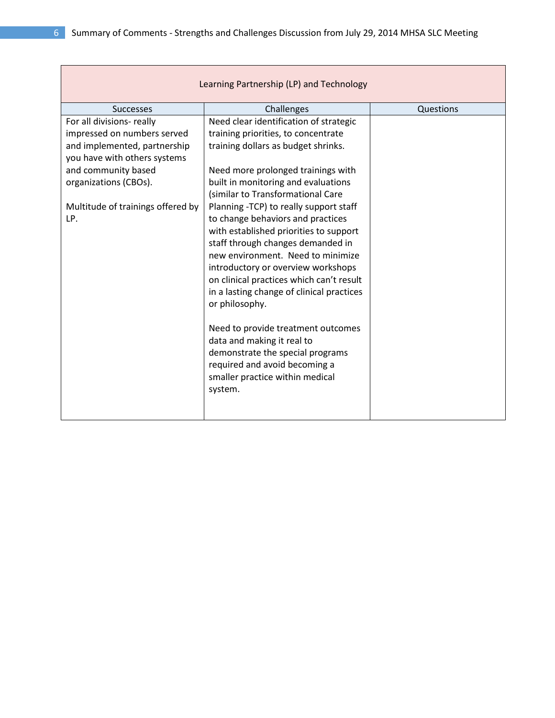| Learning Partnership (LP) and Technology |                                                                                |           |  |
|------------------------------------------|--------------------------------------------------------------------------------|-----------|--|
| <b>Successes</b>                         | Challenges                                                                     | Questions |  |
| For all divisions- really                | Need clear identification of strategic                                         |           |  |
| impressed on numbers served              | training priorities, to concentrate                                            |           |  |
| and implemented, partnership             | training dollars as budget shrinks.                                            |           |  |
| you have with others systems             |                                                                                |           |  |
| and community based                      | Need more prolonged trainings with                                             |           |  |
| organizations (CBOs).                    | built in monitoring and evaluations                                            |           |  |
|                                          | (similar to Transformational Care                                              |           |  |
| Multitude of trainings offered by        | Planning -TCP) to really support staff                                         |           |  |
| LP.                                      | to change behaviors and practices                                              |           |  |
|                                          | with established priorities to support                                         |           |  |
|                                          | staff through changes demanded in                                              |           |  |
|                                          | new environment. Need to minimize                                              |           |  |
|                                          | introductory or overview workshops<br>on clinical practices which can't result |           |  |
|                                          | in a lasting change of clinical practices                                      |           |  |
|                                          | or philosophy.                                                                 |           |  |
|                                          |                                                                                |           |  |
|                                          | Need to provide treatment outcomes                                             |           |  |
|                                          | data and making it real to                                                     |           |  |
|                                          | demonstrate the special programs                                               |           |  |
|                                          | required and avoid becoming a                                                  |           |  |
|                                          | smaller practice within medical                                                |           |  |
|                                          | system.                                                                        |           |  |
|                                          |                                                                                |           |  |
|                                          |                                                                                |           |  |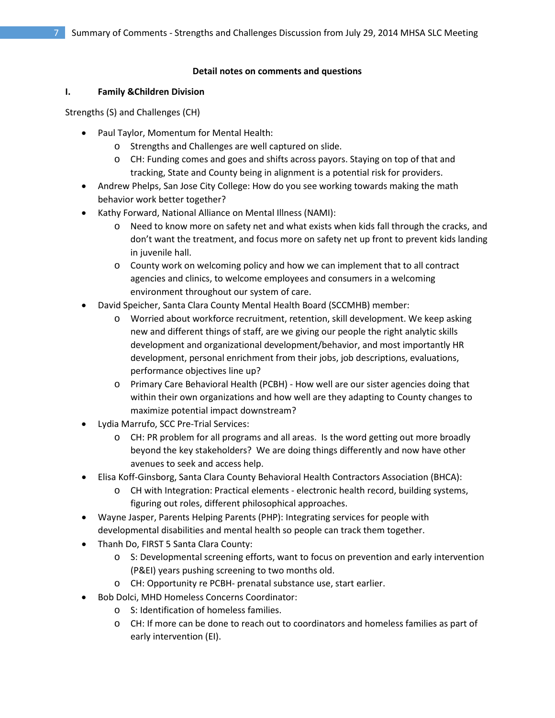#### **Detail notes on comments and questions**

## **I. Family &Children Division**

Strengths (S) and Challenges (CH)

- Paul Taylor, Momentum for Mental Health:
	- o Strengths and Challenges are well captured on slide.
	- o CH: Funding comes and goes and shifts across payors. Staying on top of that and tracking, State and County being in alignment is a potential risk for providers.
- Andrew Phelps, San Jose City College: How do you see working towards making the math behavior work better together?
- Kathy Forward, National Alliance on Mental Illness (NAMI):
	- o Need to know more on safety net and what exists when kids fall through the cracks, and don't want the treatment, and focus more on safety net up front to prevent kids landing in juvenile hall.
	- o County work on welcoming policy and how we can implement that to all contract agencies and clinics, to welcome employees and consumers in a welcoming environment throughout our system of care.
- David Speicher, Santa Clara County Mental Health Board (SCCMHB) member:
	- o Worried about workforce recruitment, retention, skill development. We keep asking new and different things of staff, are we giving our people the right analytic skills development and organizational development/behavior, and most importantly HR development, personal enrichment from their jobs, job descriptions, evaluations, performance objectives line up?
	- o Primary Care Behavioral Health (PCBH) How well are our sister agencies doing that within their own organizations and how well are they adapting to County changes to maximize potential impact downstream?
- Lydia Marrufo, SCC Pre-Trial Services:
	- o CH: PR problem for all programs and all areas. Is the word getting out more broadly beyond the key stakeholders? We are doing things differently and now have other avenues to seek and access help.
- Elisa Koff-Ginsborg, Santa Clara County Behavioral Health Contractors Association (BHCA):
	- o CH with Integration: Practical elements electronic health record, building systems, figuring out roles, different philosophical approaches.
- Wayne Jasper, Parents Helping Parents (PHP): Integrating services for people with developmental disabilities and mental health so people can track them together.
- Thanh Do, FIRST 5 Santa Clara County:
	- o S: Developmental screening efforts, want to focus on prevention and early intervention (P&EI) years pushing screening to two months old.
	- o CH: Opportunity re PCBH- prenatal substance use, start earlier.
	- Bob Dolci, MHD Homeless Concerns Coordinator:
		- o S: Identification of homeless families.
		- o CH: If more can be done to reach out to coordinators and homeless families as part of early intervention (EI).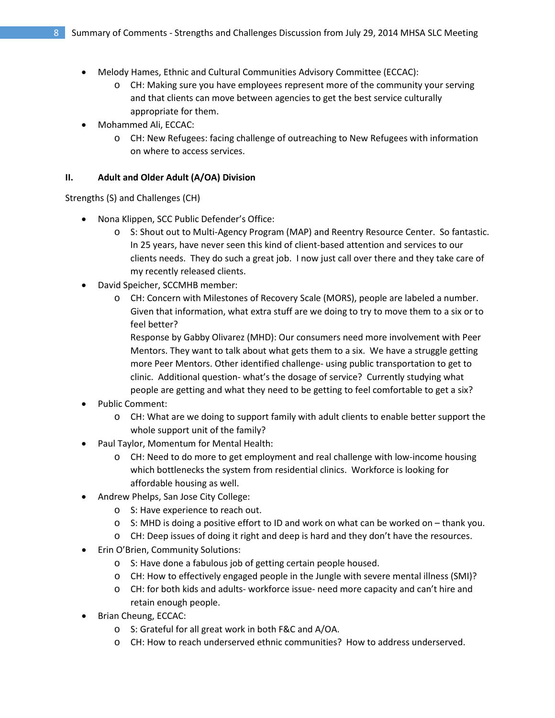- Melody Hames, Ethnic and Cultural Communities Advisory Committee (ECCAC):
	- o CH: Making sure you have employees represent more of the community your serving and that clients can move between agencies to get the best service culturally appropriate for them.
- Mohammed Ali, ECCAC:
	- o CH: New Refugees: facing challenge of outreaching to New Refugees with information on where to access services.

#### **II. Adult and Older Adult (A/OA) Division**

Strengths (S) and Challenges (CH)

- Nona Klippen, SCC Public Defender's Office:
	- o S: Shout out to Multi-Agency Program (MAP) and Reentry Resource Center. So fantastic. In 25 years, have never seen this kind of client-based attention and services to our clients needs. They do such a great job. I now just call over there and they take care of my recently released clients.
- David Speicher, SCCMHB member:
	- o CH: Concern with Milestones of Recovery Scale (MORS), people are labeled a number. Given that information, what extra stuff are we doing to try to move them to a six or to feel better?

Response by Gabby Olivarez (MHD): Our consumers need more involvement with Peer Mentors. They want to talk about what gets them to a six. We have a struggle getting more Peer Mentors. Other identified challenge- using public transportation to get to clinic. Additional question- what's the dosage of service? Currently studying what people are getting and what they need to be getting to feel comfortable to get a six?

- Public Comment:
	- o CH: What are we doing to support family with adult clients to enable better support the whole support unit of the family?
- Paul Taylor, Momentum for Mental Health:
	- o CH: Need to do more to get employment and real challenge with low-income housing which bottlenecks the system from residential clinics. Workforce is looking for affordable housing as well.
- Andrew Phelps, San Jose City College:
	- o S: Have experience to reach out.
	- o S: MHD is doing a positive effort to ID and work on what can be worked on thank you.
	- o CH: Deep issues of doing it right and deep is hard and they don't have the resources.
- Erin O'Brien, Community Solutions:
	- o S: Have done a fabulous job of getting certain people housed.
	- o CH: How to effectively engaged people in the Jungle with severe mental illness (SMI)?
	- o CH: for both kids and adults- workforce issue- need more capacity and can't hire and retain enough people.
- Brian Cheung, ECCAC:
	- o S: Grateful for all great work in both F&C and A/OA.
	- o CH: How to reach underserved ethnic communities? How to address underserved.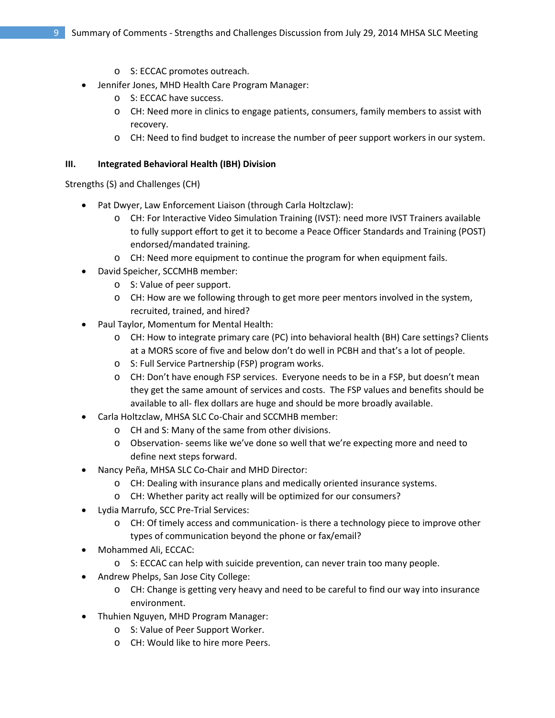- o S: ECCAC promotes outreach.
- Jennifer Jones, MHD Health Care Program Manager:
	- o S: ECCAC have success.
	- o CH: Need more in clinics to engage patients, consumers, family members to assist with recovery.
	- o CH: Need to find budget to increase the number of peer support workers in our system.

## **III. Integrated Behavioral Health (IBH) Division**

Strengths (S) and Challenges (CH)

- Pat Dwyer, Law Enforcement Liaison (through Carla Holtzclaw):
	- o CH: For Interactive Video Simulation Training (IVST): need more IVST Trainers available to fully support effort to get it to become a Peace Officer Standards and Training (POST) endorsed/mandated training.
	- o CH: Need more equipment to continue the program for when equipment fails.
- David Speicher, SCCMHB member:
	- o S: Value of peer support.
	- o CH: How are we following through to get more peer mentors involved in the system, recruited, trained, and hired?
- Paul Taylor, Momentum for Mental Health:
	- o CH: How to integrate primary care (PC) into behavioral health (BH) Care settings? Clients at a MORS score of five and below don't do well in PCBH and that's a lot of people.
	- o S: Full Service Partnership (FSP) program works.
	- o CH: Don't have enough FSP services. Everyone needs to be in a FSP, but doesn't mean they get the same amount of services and costs. The FSP values and benefits should be available to all- flex dollars are huge and should be more broadly available.
- Carla Holtzclaw, MHSA SLC Co-Chair and SCCMHB member:
	- o CH and S: Many of the same from other divisions.
	- o Observation- seems like we've done so well that we're expecting more and need to define next steps forward.
- Nancy Peña, MHSA SLC Co-Chair and MHD Director:
	- o CH: Dealing with insurance plans and medically oriented insurance systems.
	- o CH: Whether parity act really will be optimized for our consumers?
- Lydia Marrufo, SCC Pre-Trial Services:
	- o CH: Of timely access and communication- is there a technology piece to improve other types of communication beyond the phone or fax/email?
- Mohammed Ali, ECCAC:
	- o S: ECCAC can help with suicide prevention, can never train too many people.
- Andrew Phelps, San Jose City College:
	- $\circ$  CH: Change is getting very heavy and need to be careful to find our way into insurance environment.
- Thuhien Nguyen, MHD Program Manager:
	- o S: Value of Peer Support Worker.
	- o CH: Would like to hire more Peers.